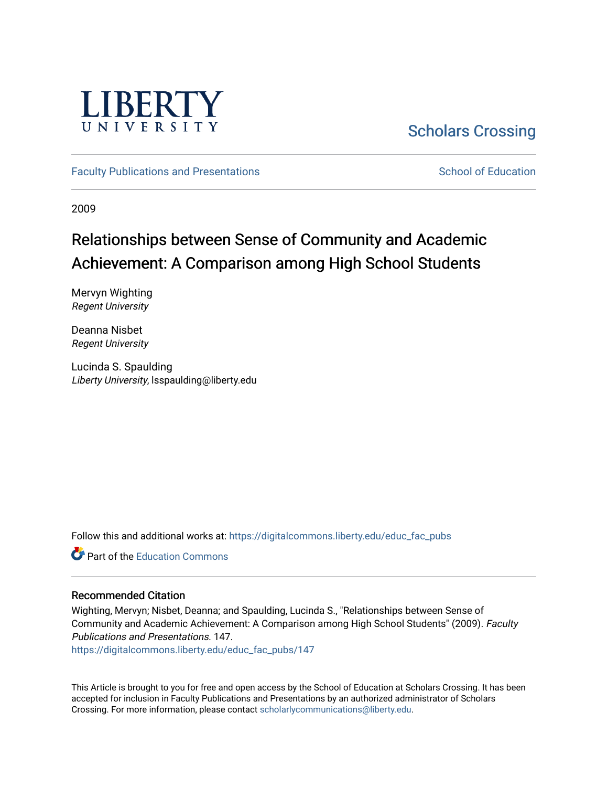

# [Scholars Crossing](https://digitalcommons.liberty.edu/)

[Faculty Publications and Presentations](https://digitalcommons.liberty.edu/educ_fac_pubs) [School of Education](https://digitalcommons.liberty.edu/soe) School of Education

2009

# Relationships between Sense of Community and Academic Achievement: A Comparison among High School Students

Mervyn Wighting Regent University

Deanna Nisbet Regent University

Lucinda S. Spaulding Liberty University, lsspaulding@liberty.edu

Follow this and additional works at: [https://digitalcommons.liberty.edu/educ\\_fac\\_pubs](https://digitalcommons.liberty.edu/educ_fac_pubs?utm_source=digitalcommons.liberty.edu%2Feduc_fac_pubs%2F147&utm_medium=PDF&utm_campaign=PDFCoverPages) 

**C** Part of the [Education Commons](http://network.bepress.com/hgg/discipline/784?utm_source=digitalcommons.liberty.edu%2Feduc_fac_pubs%2F147&utm_medium=PDF&utm_campaign=PDFCoverPages)

# Recommended Citation

Wighting, Mervyn; Nisbet, Deanna; and Spaulding, Lucinda S., "Relationships between Sense of Community and Academic Achievement: A Comparison among High School Students" (2009). Faculty Publications and Presentations. 147.

[https://digitalcommons.liberty.edu/educ\\_fac\\_pubs/147](https://digitalcommons.liberty.edu/educ_fac_pubs/147?utm_source=digitalcommons.liberty.edu%2Feduc_fac_pubs%2F147&utm_medium=PDF&utm_campaign=PDFCoverPages) 

This Article is brought to you for free and open access by the School of Education at Scholars Crossing. It has been accepted for inclusion in Faculty Publications and Presentations by an authorized administrator of Scholars Crossing. For more information, please contact [scholarlycommunications@liberty.edu](mailto:scholarlycommunications@liberty.edu).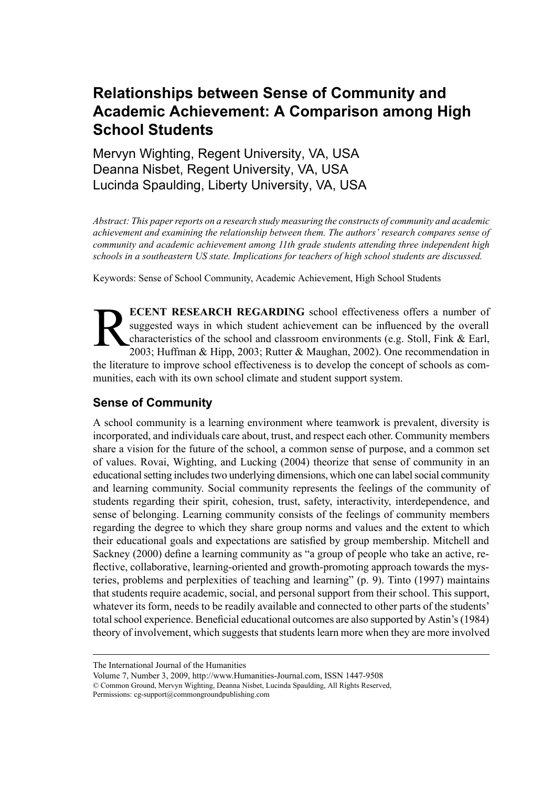# **Relationships between Sense of Community and Academic Achievement: A Comparison among High School Students**

Mervyn Wighting, Regent University, VA, USA Deanna Nisbet, Regent University, VA, USA Lucinda Spaulding, Liberty University, VA, USA

*Abstract: This paperreports on a research study measuring the constructs of community and academic achievement and examining the relationship between them. The authors' research compares sense of community and academic achievement among 11th grade students attending three independent high schools in a southeastern US state. Implications for teachers of high school students are discussed.*

Keywords: Sense of School Community, Academic Achievement, High School Students

R **ECENT RESEARCH REGARDING** school effectiveness offers a number of suggested ways in which student achievement can be influenced by the overall characteristics of the school and classroom environments (e.g. Stoll, Fink & Earl, 2003; Huffman & Hipp, 2003; Rutter & Maughan, 2002). One recommendation in the literature to improve school effectiveness is to develop the concept of schools as communities, each with its own school climate and student support system.

# **Sense of Community**

A school community is a learning environment where teamwork is prevalent, diversity is incorporated, and individuals care about, trust, and respect each other. Community members share a vision for the future of the school, a common sense of purpose, and a common set of values. Rovai, Wighting, and Lucking (2004) theorize that sense of community in an educational setting includes two underlying dimensions, which one can label social community and learning community. Social community represents the feelings of the community of students regarding their spirit, cohesion, trust, safety, interactivity, interdependence, and sense of belonging. Learning community consists of the feelings of community members regarding the degree to which they share group norms and values and the extent to which their educational goals and expectations are satisfied by group membership. Mitchell and Sackney (2000) define a learning community as "a group of people who take an active, reflective, collaborative, learning-oriented and growth-promoting approach towards the mysteries, problems and perplexities of teaching and learning" (p. 9). Tinto (1997) maintains that students require academic, social, and personal support from their school. This support, whatever its form, needs to be readily available and connected to other parts of the students' total school experience. Beneficial educational outcomes are also supported by Astin's (1984) theory of involvement, which suggests that students learn more when they are more involved

The International Journal of the Humanities

Volume 7, Number 3, 2009, http://www.Humanities-Journal.com, ISSN 1447-9508 © Common Ground, Mervyn Wighting, Deanna Nisbet, Lucinda Spaulding, All Rights Reserved,

Permissions: cg-support@commongroundpublishing.com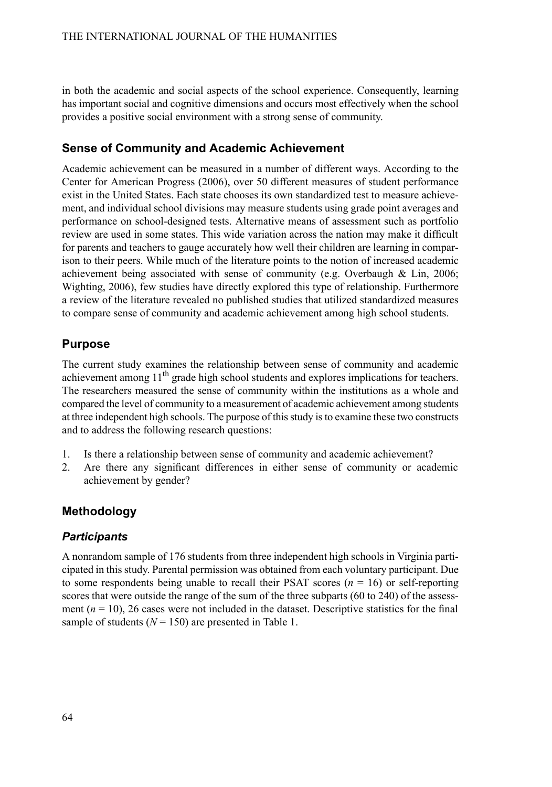in both the academic and social aspects of the school experience. Consequently, learning has important social and cognitive dimensions and occurs most effectively when the school provides a positive social environment with a strong sense of community.

## **Sense of Community and Academic Achievement**

Academic achievement can be measured in a number of different ways. According to the Center for American Progress (2006), over 50 different measures of student performance exist in the United States. Each state chooses its own standardized test to measure achievement, and individual school divisions may measure students using grade point averages and performance on school-designed tests. Alternative means of assessment such as portfolio review are used in some states. This wide variation across the nation may make it difficult for parents and teachers to gauge accurately how well their children are learning in comparison to their peers. While much of the literature points to the notion of increased academic achievement being associated with sense of community (e.g. Overbaugh & Lin, 2006; Wighting, 2006), few studies have directly explored this type of relationship. Furthermore a review of the literature revealed no published studies that utilized standardized measures to compare sense of community and academic achievement among high school students.

#### **Purpose**

The current study examines the relationship between sense of community and academic achievement among 11<sup>th</sup> grade high school students and explores implications for teachers. The researchers measured the sense of community within the institutions as a whole and compared the level of community to a measurement of academic achievement among students at three independent high schools. The purpose of thisstudy isto examine these two constructs and to address the following research questions:

- 1. Is there a relationship between sense of community and academic achievement?
- 2. Are there any significant differences in either sense of community or academic achievement by gender?

# **Methodology**

#### *Participants*

A nonrandom sample of 176 students from three independent high schools in Virginia participated in this study.Parental permission was obtained from each voluntary participant. Due to some respondents being unable to recall their PSAT scores  $(n = 16)$  or self-reporting scores that were outside the range of the sum of the three subparts (60 to 240) of the assessment  $(n = 10)$ , 26 cases were not included in the dataset. Descriptive statistics for the final sample of students  $(N = 150)$  are presented in Table 1.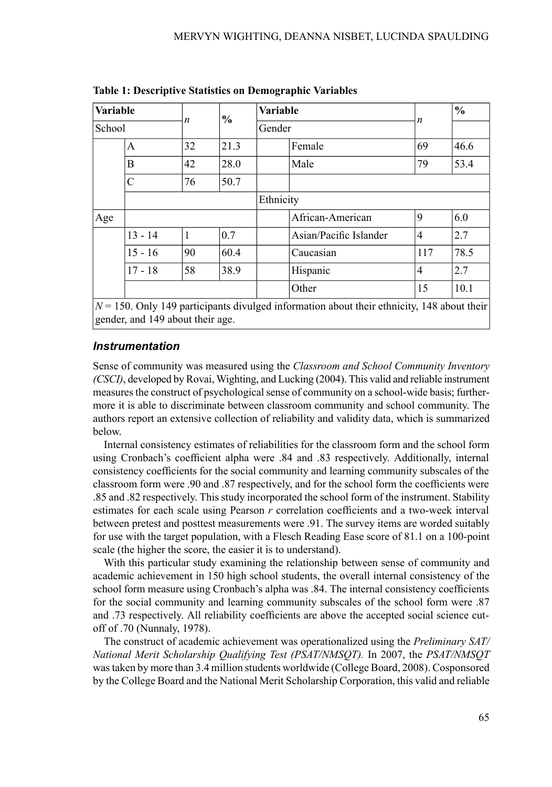| Variable |           |                  | $\frac{1}{2}$ | <b>Variable</b>  |                        |                | $\frac{0}{0}$ |  |  |
|----------|-----------|------------------|---------------|------------------|------------------------|----------------|---------------|--|--|
| School   |           | $\boldsymbol{n}$ |               | Gender           |                        | n              |               |  |  |
|          | A         | 32               | 21.3          |                  | Female                 | 69             | 46.6          |  |  |
|          | B         | 42               | 28.0          |                  | Male                   |                | 53.4          |  |  |
| C        |           | 76               | 50.7          |                  |                        |                |               |  |  |
|          |           |                  |               | Ethnicity        |                        |                |               |  |  |
| Age      |           |                  |               | African-American | 9                      | 6.0            |               |  |  |
|          | $13 - 14$ | 1                | 0.7           |                  | Asian/Pacific Islander | $\overline{4}$ | 2.7           |  |  |
|          | $15 - 16$ | 90               | 60.4          |                  | Caucasian              | 117            | 78.5          |  |  |
|          | $17 - 18$ | 58               | 38.9          |                  | Hispanic               | $\overline{4}$ | 2.7           |  |  |
|          |           |                  |               | Other            |                        | 15             | 10.1          |  |  |

**Table 1: Descriptive Statistics on Demographic Variables**

 $N = 150$ . Only 149 participants divulged information about their ethnicity, 148 about their gender, and 149 about their age.

## *Instrumentation*

Sense of community was measured using the *Classroom and School Community Inventory (CSCI)*, developed by Rovai, Wighting, and Lucking (2004). This valid and reliable instrument measures the construct of psychological sense of community on a school-wide basis; furthermore it is able to discriminate between classroom community and school community. The authors report an extensive collection of reliability and validity data, which is summarized below.

Internal consistency estimates of reliabilities for the classroom form and the school form using Cronbach's coefficient alpha were .84 and .83 respectively. Additionally, internal consistency coefficients for the social community and learning community subscales of the classroom form were .90 and .87 respectively, and for the school form the coefficients were .85 and .82 respectively. This study incorporated the school form of the instrument.Stability estimates for each scale using Pearson *r* correlation coefficients and a two-week interval between pretest and posttest measurements were .91. The survey items are worded suitably for use with the target population, with a Flesch Reading Ease score of 81.1 on a 100-point scale (the higher the score, the easier it is to understand).

With this particular study examining the relationship between sense of community and academic achievement in 150 high school students, the overall internal consistency of the school form measure using Cronbach's alpha was .84. The internal consistency coefficients for the social community and learning community subscales of the school form were .87 and .73 respectively. All reliability coefficients are above the accepted social science cutoff of .70 (Nunnaly, 1978).

The construct of academic achievement was operationalized using the *Preliminary SAT/ National Merit Scholarship Qualifying Test (PSAT/NMSQT).* In 2007, the *PSAT/NMSQT* wastaken by more than 3.4 million students worldwide (College Board, 2008). Cosponsored by the College Board and the National Merit Scholarship Corporation, this valid and reliable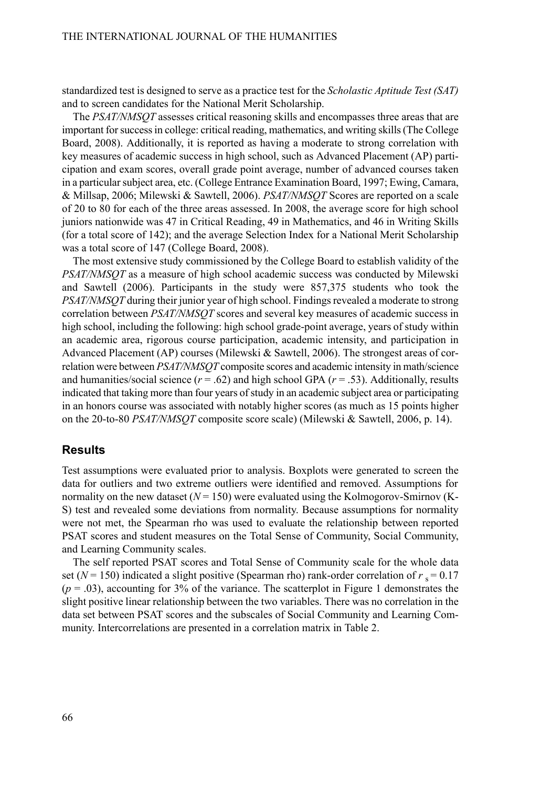standardized test is designed to serve as a practice test for the *Scholastic Aptitude Test (SAT)* and to screen candidates for the National Merit Scholarship.

The *PSAT/NMSQT* assesses critical reasoning skills and encompasses three areas that are important for success in college: critical reading, mathematics, and writing skills (The College Board, 2008). Additionally, it is reported as having a moderate to strong correlation with key measures of academic success in high school, such as Advanced Placement (AP) participation and exam scores, overall grade point average, number of advanced courses taken in a particularsubject area, etc. (College Entrance Examination Board, 1997; Ewing, Camara, & Millsap, 2006; Milewski & Sawtell, 2006). *PSAT/NMSQT* Scores are reported on a scale of 20 to 80 for each of the three areas assessed. In 2008, the average score for high school juniors nationwide was 47 in Critical Reading, 49 in Mathematics, and 46 in Writing Skills (for a total score of 142); and the average Selection Index for a National Merit Scholarship was a total score of 147 (College Board, 2008).

The most extensive study commissioned by the College Board to establish validity of the *PSAT/NMSQT* as a measure of high school academic success was conducted by Milewski and Sawtell (2006). Participants in the study were 857,375 students who took the *PSAT/NMSQT* during their junior year of high school. Findings revealed a moderate to strong correlation between *PSAT/NMSQT* scores and several key measures of academic success in high school, including the following: high school grade-point average, years of study within an academic area, rigorous course participation, academic intensity, and participation in Advanced Placement (AP) courses (Milewski & Sawtell, 2006). The strongest areas of correlation were between *PSAT/NMSOT* composite scores and academic intensity in math/science and humanities/social science  $(r = .62)$  and high school GPA  $(r = .53)$ . Additionally, results indicated that taking more than four years of study in an academic subject area or participating in an honors course was associated with notably higher scores (as much as 15 points higher on the 20-to-80 *PSAT/NMSQT* composite score scale) (Milewski & Sawtell, 2006, p. 14).

#### **Results**

Test assumptions were evaluated prior to analysis. Boxplots were generated to screen the data for outliers and two extreme outliers were identified and removed. Assumptions for normality on the new dataset  $(N = 150)$  were evaluated using the Kolmogorov-Smirnov (K-S) test and revealed some deviations from normality. Because assumptions for normality were not met, the Spearman rho was used to evaluate the relationship between reported PSAT scores and student measures on the Total Sense of Community, Social Community, and Learning Community scales.

The self reported PSAT scores and Total Sense of Community scale for the whole data set ( $N = 150$ ) indicated a slight positive (Spearman rho) rank-order correlation of  $r_s = 0.17$  $(p = .03)$ , accounting for 3% of the variance. The scatterplot in Figure 1 demonstrates the slight positive linear relationship between the two variables. There was no correlation in the data set between PSAT scores and the subscales of Social Community and Learning Community. Intercorrelations are presented in a correlation matrix in Table 2.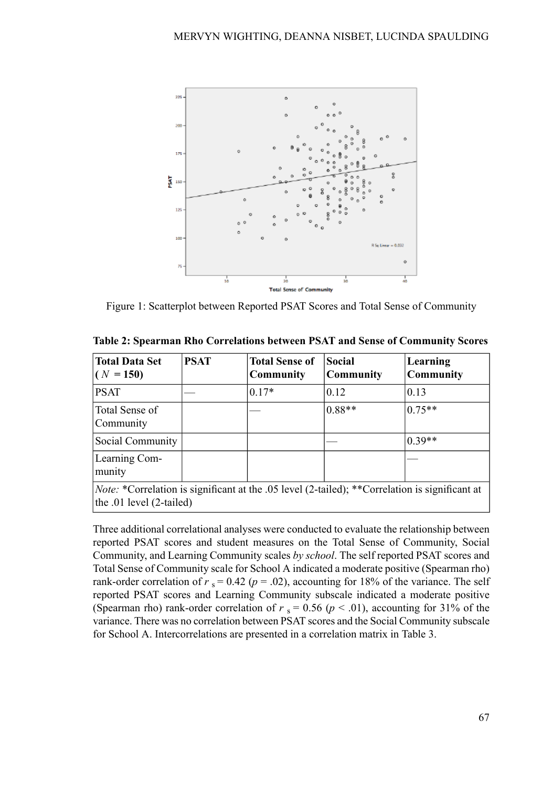

Figure 1: Scatterplot between Reported PSAT Scores and Total Sense of Community

| <b>Total Data Set</b><br>$(N = 150)$                                                                                                 | <b>PSAT</b> | <b>Total Sense of</b><br><b>Community</b> | Social<br>Community | Learning<br>Community |
|--------------------------------------------------------------------------------------------------------------------------------------|-------------|-------------------------------------------|---------------------|-----------------------|
| <b>PSAT</b>                                                                                                                          |             | $0.17*$                                   | 0.12                | 0.13                  |
| Total Sense of<br>Community                                                                                                          |             |                                           | $0.88**$            | $0.75**$              |
| Social Community                                                                                                                     |             |                                           |                     | $10.39**$             |
| Learning Com-<br>munity                                                                                                              |             |                                           |                     |                       |
| <i>Note:</i> *Correlation is significant at the .05 level (2-tailed); **Correlation is significant at<br>the .01 level $(2$ -tailed) |             |                                           |                     |                       |

**Table 2: Spearman Rho Correlations between PSAT and Sense of Community Scores**

Three additional correlational analyses were conducted to evaluate the relationship between reported PSAT scores and student measures on the Total Sense of Community, Social Community, and Learning Community scales *by school*. The self reported PSAT scores and Total Sense of Community scale for School A indicated a moderate positive (Spearman rho) rank-order correlation of  $r_s = 0.42$  ( $p = .02$ ), accounting for 18% of the variance. The self reported PSAT scores and Learning Community subscale indicated a moderate positive (Spearman rho) rank-order correlation of  $r_s = 0.56$  ( $p < .01$ ), accounting for 31% of the variance. There was no correlation between PSAT scores and the Social Community subscale for School A. Intercorrelations are presented in a correlation matrix in Table 3.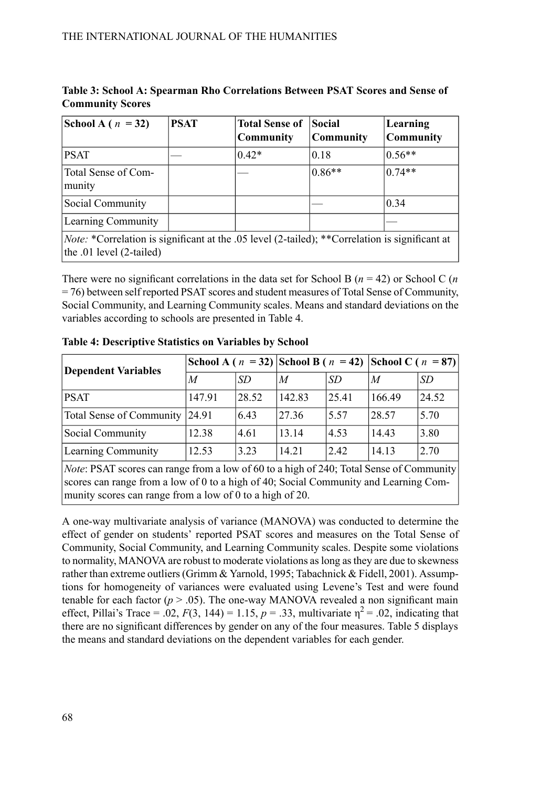| School A ( $n = 32$ )                                                                                                             | <b>PSAT</b> | <b>Total Sense of</b><br>Community | <b>Social</b><br> Community | Learning<br><b>Community</b> |  |  |  |
|-----------------------------------------------------------------------------------------------------------------------------------|-------------|------------------------------------|-----------------------------|------------------------------|--|--|--|
| <b>PSAT</b>                                                                                                                       |             | $0.42*$                            | 0.18                        | $0.56**$                     |  |  |  |
| Total Sense of Com-<br>munity                                                                                                     |             |                                    | $0.86**$                    | $0.74**$                     |  |  |  |
| Social Community                                                                                                                  |             |                                    |                             | 0.34                         |  |  |  |
| Learning Community                                                                                                                |             |                                    |                             |                              |  |  |  |
| <i>Note:</i> *Correlation is significant at the .05 level (2-tailed); **Correlation is significant at<br>the .01 level (2-tailed) |             |                                    |                             |                              |  |  |  |

**Table 3: School A: Spearman Rho Correlations Between PSAT Scores and Sense of Community Scores**

There were no significant correlations in the data set for School B (*n* = 42) or School C (*n*  $= 76$ ) between self reported PSAT scores and student measures of Total Sense of Community, Social Community, and Learning Community scales. Means and standard deviations on the variables according to schools are presented in Table 4.

| <b>Dependent Variables</b>                                                                           |        |           | School A ( $n = 32$ ) School B ( $n = 42$ ) School C ( $n = 87$ ) |           |        |       |  |
|------------------------------------------------------------------------------------------------------|--------|-----------|-------------------------------------------------------------------|-----------|--------|-------|--|
|                                                                                                      | M      | <b>SD</b> | M                                                                 | <b>SD</b> | M      | SD    |  |
| <b>PSAT</b>                                                                                          | 147.91 | 28.52     | 142.83                                                            | 25.41     | 166.49 | 24.52 |  |
| Total Sense of Community 24.91                                                                       |        | 6.43      | 27.36                                                             | 5.57      | 28.57  | 5.70  |  |
| Social Community                                                                                     | 12.38  | 4.61      | 13.14                                                             | 4.53      | 14.43  | 3.80  |  |
| Learning Community                                                                                   | 12.53  | 3.23      | 14.21                                                             | 2.42      | 14.13  | 2.70  |  |
| $N_{\text{obs}}$ DCAT seeing sep repair from a levy of 60 to a high of 240; Total Cance of Community |        |           |                                                                   |           |        |       |  |

**Table 4: Descriptive Statistics on Variables by School**

*Note*: PSAT scores can range from a low of 60 to a high of 240; Total Sense of Community scores can range from a low of 0 to a high of 40; Social Community and Learning Community scores can range from a low of 0 to a high of 20.

A one-way multivariate analysis of variance (MANOVA) was conducted to determine the effect of gender on students' reported PSAT scores and measures on the Total Sense of Community, Social Community, and Learning Community scales. Despite some violations to normality, MANOVA are robust to moderate violations aslong asthey are due to skewness rather than extreme outliers (Grimm & Yarnold, 1995; Tabachnick & Fidell, 2001). Assumptions for homogeneity of variances were evaluated using Levene's Test and were found tenable for each factor  $(p > .05)$ . The one-way MANOVA revealed a non significant main effect, Pillai's Trace = .02,  $F(3, 144) = 1.15$ ,  $p = .33$ , multivariate  $\eta^2 = .02$ , indicating that there are no significant differences by gender on any of the four measures. Table 5 displays the means and standard deviations on the dependent variables for each gender.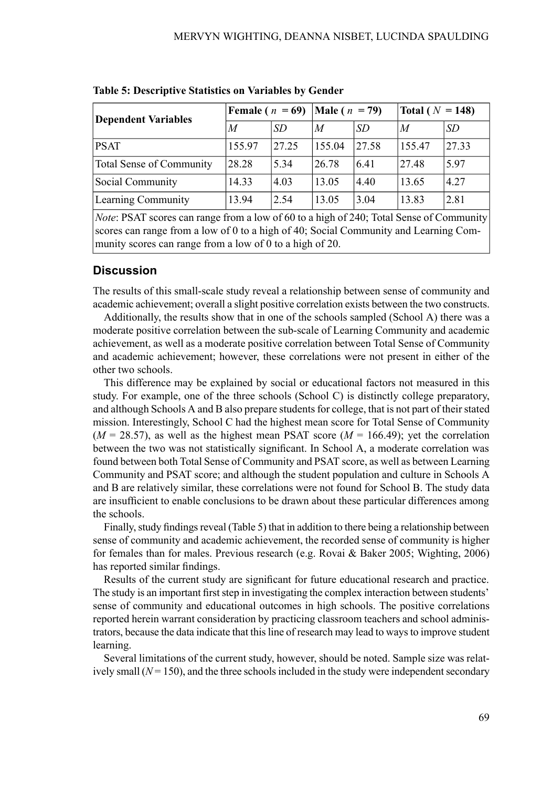| <b>Dependent Variables</b> | Female ( $n = 69$ )   Male ( $n = 79$ ) |           | Total ( $N = 148$ ) |           |        |           |
|----------------------------|-----------------------------------------|-----------|---------------------|-----------|--------|-----------|
|                            | M                                       | <b>SD</b> | M                   | <i>SD</i> | M      | <i>SD</i> |
| PSAT                       | 155.97                                  | 27.25     | 155.04              | 27.58     | 155.47 | 27.33     |
| Total Sense of Community   | 28.28                                   | 5.34      | 26.78               | 6.41      | 27.48  | 5.97      |
| Social Community           | 14.33                                   | 4.03      | 13.05               | 4.40      | 13.65  | 4.27      |
| Learning Community         | 13.94                                   | 2.54      | 13.05               | 3.04      | 13.83  | 2.81      |

**Table 5: Descriptive Statistics on Variables by Gender**

*Note*: PSAT scores can range from a low of 60 to a high of 240; Total Sense of Community scores can range from a low of 0 to a high of 40; Social Community and Learning Community scores can range from a low of 0 to a high of 20.

## **Discussion**

The results of this small-scale study reveal a relationship between sense of community and academic achievement; overall a slight positive correlation exists between the two constructs.

Additionally, the results show that in one of the schools sampled (School A) there was a moderate positive correlation between the sub-scale of Learning Community and academic achievement, as well as a moderate positive correlation between Total Sense of Community and academic achievement; however, these correlations were not present in either of the other two schools.

This difference may be explained by social or educational factors not measured in this study. For example, one of the three schools (School C) is distinctly college preparatory, and although Schools A and B also prepare students for college, that is not part of their stated mission. Interestingly, School C had the highest mean score for Total Sense of Community  $(M = 28.57)$ , as well as the highest mean PSAT score  $(M = 166.49)$ ; yet the correlation between the two was not statistically significant. In School A, a moderate correlation was found between both Total Sense of Community and PSAT score, as well as between Learning Community and PSAT score; and although the student population and culture in Schools A and B are relatively similar, these correlations were not found for School B. The study data are insufficient to enable conclusions to be drawn about these particular differences among the schools.

Finally, study findings reveal (Table 5) that in addition to there being a relationship between sense of community and academic achievement, the recorded sense of community is higher for females than for males. Previous research (e.g. Rovai & Baker 2005; Wighting, 2006) has reported similar findings.

Results of the current study are significant for future educational research and practice. The study is an important first step in investigating the complex interaction between students' sense of community and educational outcomes in high schools. The positive correlations reported herein warrant consideration by practicing classroom teachers and school administrators, because the data indicate that thisline of research may lead to waysto improve student learning.

Several limitations of the current study, however, should be noted. Sample size was relatively small  $(N = 150)$ , and the three schools included in the study were independent secondary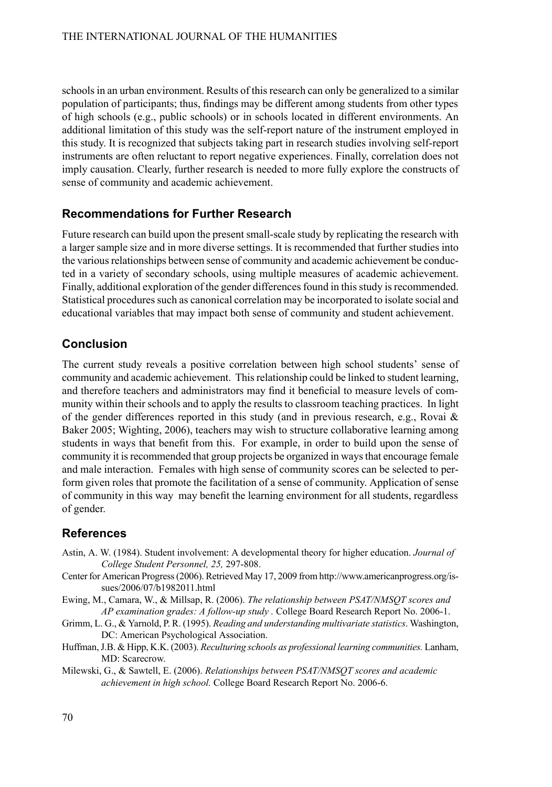schools in an urban environment. Results of this research can only be generalized to a similar population of participants; thus, findings may be different among students from other types of high schools (e.g., public schools) or in schools located in different environments. An additional limitation of this study was the self-report nature of the instrument employed in this study. It is recognized that subjects taking part in research studies involving self-report instruments are often reluctant to report negative experiences. Finally, correlation does not imply causation. Clearly, further research is needed to more fully explore the constructs of sense of community and academic achievement.

# **Recommendations for Further Research**

Future research can build upon the present small-scale study by replicating the research with a larger sample size and in more diverse settings. It is recommended that further studies into the various relationships between sense of community and academic achievement be conducted in a variety of secondary schools, using multiple measures of academic achievement. Finally, additional exploration of the gender differences found in this study is recommended. Statistical procedures such as canonical correlation may be incorporated to isolate social and educational variables that may impact both sense of community and student achievement.

# **Conclusion**

The current study reveals a positive correlation between high school students' sense of community and academic achievement. Thisrelationship could be linked to student learning, and therefore teachers and administrators may find it beneficial to measure levels of community within their schools and to apply the results to classroom teaching practices. In light of the gender differences reported in this study (and in previous research, e.g., Rovai & Baker 2005; Wighting, 2006), teachers may wish to structure collaborative learning among students in ways that benefit from this. For example, in order to build upon the sense of community it isrecommended that group projects be organized in waysthat encourage female and male interaction. Females with high sense of community scores can be selected to perform given roles that promote the facilitation of a sense of community. Application of sense of community in this way may benefit the learning environment for all students, regardless of gender.

# **References**

- Astin, A. W. (1984). Student involvement: A developmental theory for higher education. *Journal of College Student Personnel, 25,* 297-808.
- Center for American Progress(2006). Retrieved May 17, 2009 from http://www.americanprogress.org/issues/2006/07/b1982011.html
- Ewing, M., Camara, W., & Millsap, R. (2006). *The relationship between PSAT/NMSQT scores and AP examination grades: A follow-up study .* College Board Research Report No. 2006-1.
- Grimm, L. G., & Yarnold, P. R. (1995). *Reading and understanding multivariate statistics*. Washington, DC: American Psychological Association.
- Huffman,J.B. & Hipp, K.K. (2003). *Reculturing schools as professional learning communities.* Lanham, MD: Scarecrow.
- Milewski, G., & Sawtell, E. (2006). *Relationships between PSAT/NMSQT scores and academic achievement in high school.* College Board Research Report No. 2006-6.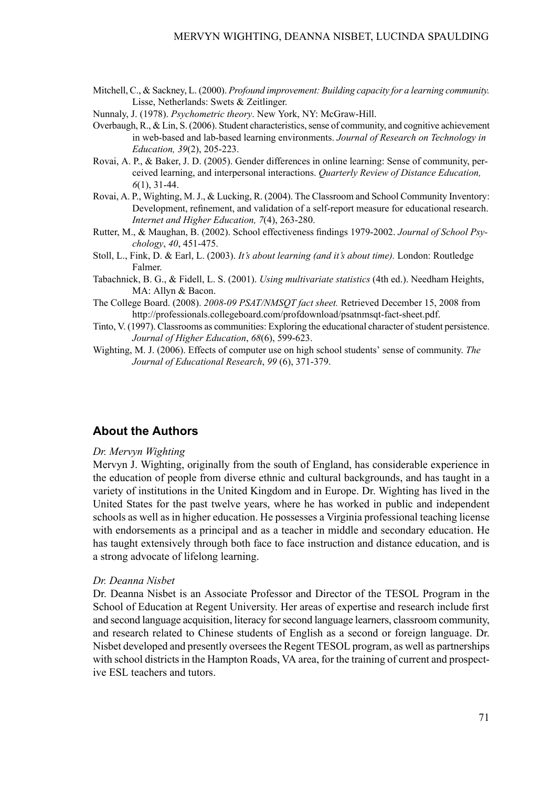Mitchell, C., & Sackney, L. (2000). *Profound improvement: Building capacity for a learning community.* Lisse, Netherlands: Swets & Zeitlinger.

Nunnaly, J. (1978). *Psychometric theory*. New York, NY: McGraw-Hill.

- Overbaugh, R., & Lin, S. (2006). Student characteristics, sense of community, and cognitive achievement in web-based and lab-based learning environments. *Journal of Research on Technology in Education, 39*(2), 205-223.
- Rovai, A. P., & Baker, J. D. (2005). Gender differences in online learning: Sense of community, perceived learning, and interpersonal interactions. *Quarterly Review of Distance Education, 6*(1), 31-44.
- Rovai, A. P., Wighting, M.J., & Lucking, R. (2004). The Classroom and School Community Inventory: Development, refinement, and validation of a self-report measure for educational research. *Internet and Higher Education, 7*(4), 263-280.
- Rutter, M., & Maughan, B. (2002). School effectiveness findings 1979-2002. *Journal of School Psychology*, *40*, 451-475.
- Stoll, L., Fink, D. & Earl, L. (2003). *It's about learning (and it's about time).* London: Routledge Falmer.
- Tabachnick, B. G., & Fidell, L. S. (2001). *Using multivariate statistics* (4th ed.). Needham Heights, MA: Allyn & Bacon.
- The College Board. (2008). *2008-09 PSAT/NMSQT fact sheet.* Retrieved December 15, 2008 from http://professionals.collegeboard.com/profdownload/psatnmsqt-fact-sheet.pdf.
- Tinto, V. (1997). Classrooms as communities: Exploring the educational character ofstudent persistence. *Journal of Higher Education*, *68*(6), 599-623.
- Wighting, M. J. (2006). Effects of computer use on high school students' sense of community. *The Journal of Educational Research*, *99* (6), 371-379.

#### **About the Authors**

#### *Dr. Mervyn Wighting*

Mervyn J. Wighting, originally from the south of England, has considerable experience in the education of people from diverse ethnic and cultural backgrounds, and has taught in a variety of institutions in the United Kingdom and in Europe. Dr. Wighting has lived in the United States for the past twelve years, where he has worked in public and independent schools as well as in higher education. He possesses a Virginia professional teaching license with endorsements as a principal and as a teacher in middle and secondary education. He has taught extensively through both face to face instruction and distance education, and is a strong advocate of lifelong learning.

#### *Dr. Deanna Nisbet*

Dr. Deanna Nisbet is an Associate Professor and Director of the TESOL Program in the School of Education at Regent University. Her areas of expertise and research include first and second language acquisition, literacy forsecond language learners, classroom community, and research related to Chinese students of English as a second or foreign language. Dr. Nisbet developed and presently oversees the Regent TESOL program, as well as partnerships with school districts in the Hampton Roads, VA area, for the training of current and prospective ESL teachers and tutors.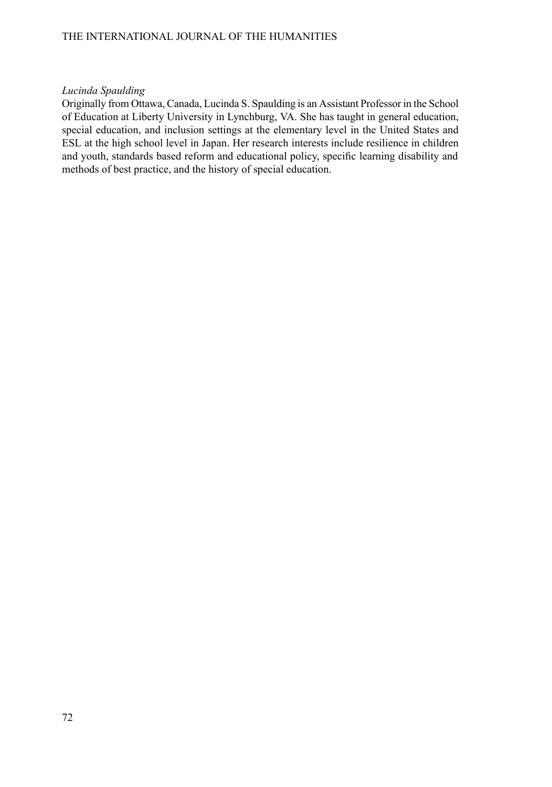#### *Lucinda Spaulding*

Originally from Ottawa, Canada, Lucinda S. Spaulding is an Assistant Professor in the School of Education at Liberty University in Lynchburg, VA. She has taught in general education, special education, and inclusion settings at the elementary level in the United States and ESL at the high school level in Japan. Her research interests include resilience in children and youth, standards based reform and educational policy, specific learning disability and methods of best practice, and the history of special education.